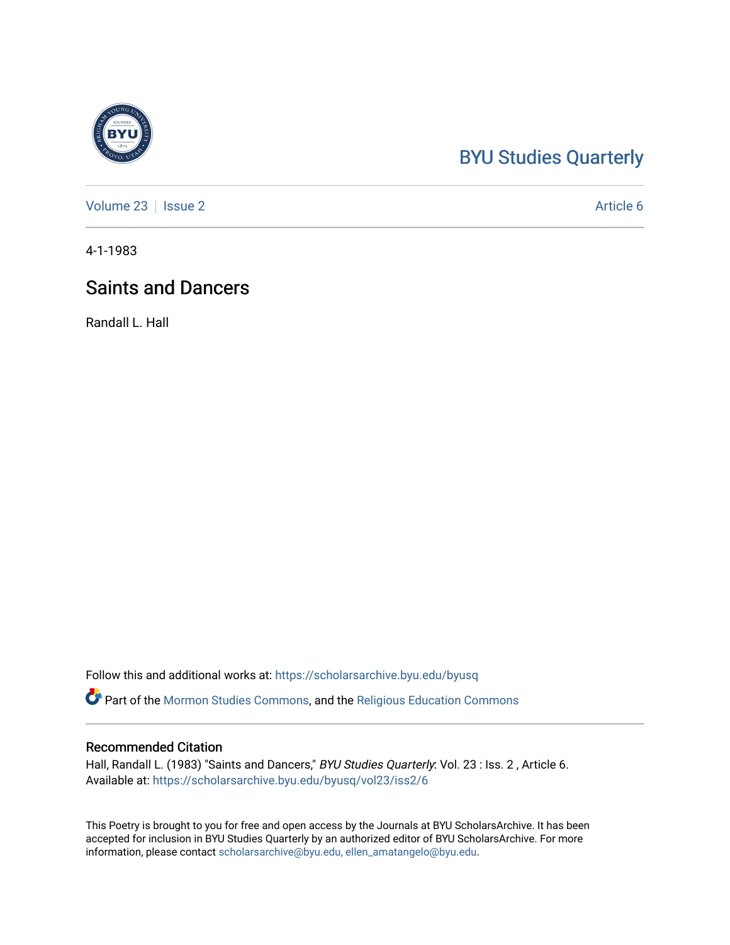## [BYU Studies Quarterly](https://scholarsarchive.byu.edu/byusq)

[Volume 23](https://scholarsarchive.byu.edu/byusq/vol23) | [Issue 2](https://scholarsarchive.byu.edu/byusq/vol23/iss2) Article 6

4-1-1983

## Saints and Dancers

Randall L. Hall

Follow this and additional works at: [https://scholarsarchive.byu.edu/byusq](https://scholarsarchive.byu.edu/byusq?utm_source=scholarsarchive.byu.edu%2Fbyusq%2Fvol23%2Fiss2%2F6&utm_medium=PDF&utm_campaign=PDFCoverPages) 

Part of the [Mormon Studies Commons](http://network.bepress.com/hgg/discipline/1360?utm_source=scholarsarchive.byu.edu%2Fbyusq%2Fvol23%2Fiss2%2F6&utm_medium=PDF&utm_campaign=PDFCoverPages), and the [Religious Education Commons](http://network.bepress.com/hgg/discipline/1414?utm_source=scholarsarchive.byu.edu%2Fbyusq%2Fvol23%2Fiss2%2F6&utm_medium=PDF&utm_campaign=PDFCoverPages) 

## Recommended Citation

Hall, Randall L. (1983) "Saints and Dancers," BYU Studies Quarterly: Vol. 23 : Iss. 2, Article 6. Available at: [https://scholarsarchive.byu.edu/byusq/vol23/iss2/6](https://scholarsarchive.byu.edu/byusq/vol23/iss2/6?utm_source=scholarsarchive.byu.edu%2Fbyusq%2Fvol23%2Fiss2%2F6&utm_medium=PDF&utm_campaign=PDFCoverPages)

This Poetry is brought to you for free and open access by the Journals at BYU ScholarsArchive. It has been accepted for inclusion in BYU Studies Quarterly by an authorized editor of BYU ScholarsArchive. For more information, please contact [scholarsarchive@byu.edu, ellen\\_amatangelo@byu.edu.](mailto:scholarsarchive@byu.edu,%20ellen_amatangelo@byu.edu)